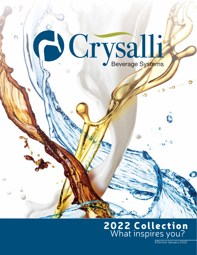

## Effective January 202 2022 Collection

Effective January 202<sup>2</sup>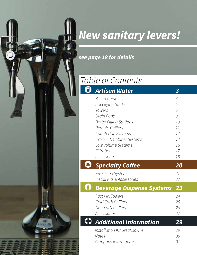## **New sanitary levers!**

**see page 18 for details**

## Table of Contents

| Artisan Water                                                                                                                                                                          | $\boldsymbol{3}$                                            |
|----------------------------------------------------------------------------------------------------------------------------------------------------------------------------------------|-------------------------------------------------------------|
| Sizing Guide<br>Specifying Guide<br>Towers<br>Drain Pans<br><b>Bottle Filling Stations</b><br>Remote Chillers<br>Countertop Systems<br>Drop-in & Cabinet Systems<br>Low Volume Systems | $\overline{4}$<br>5<br>6<br>9<br>10<br>11<br>12<br>14<br>15 |
| Filtration<br><b>Accessories</b>                                                                                                                                                       | 17<br>18                                                    |
| <b>Specialty Coffee</b>                                                                                                                                                                | 20                                                          |
| <b>ProFusion Systems</b><br>Install Kits & Accessories                                                                                                                                 | 21<br>22                                                    |
| <b>Beverage Dispense Systems</b>                                                                                                                                                       | 23                                                          |
| <b>Post Mix Towers</b><br>Cold Carb Chillers<br>Non-carb Chillers<br>Accessories                                                                                                       | 24<br>25<br>26<br>27                                        |
| <b>Additional Information</b>                                                                                                                                                          | 29                                                          |
| Installation Kit Breakdowns                                                                                                                                                            | 29<br>30                                                    |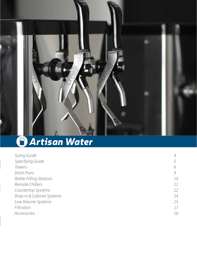

## *Artisan Water*

| Sizing Guide                   |               |
|--------------------------------|---------------|
| Specifying Guide               | $\mathcal{L}$ |
| <b>Towers</b>                  | h             |
| Drain Pans                     | 9             |
| <b>Bottle Filling Stations</b> | 10            |
| Remote Chillers                | 11            |
| <b>Countertop Systems</b>      | 12            |
| Drop-in & Cabinet Systems      | 14            |
| Low Volume Systems             | 15            |
| Filtration                     | 17            |
| Accessories                    | 18            |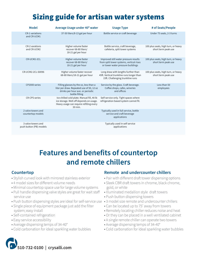## Sizing guide for artisan water systems

| <b>Model</b>                                  | Average Usage under 40° water                                                                                                               | <b>Usage Type</b>                                                                                                      | # of Seats/People                                          |
|-----------------------------------------------|---------------------------------------------------------------------------------------------------------------------------------------------|------------------------------------------------------------------------------------------------------------------------|------------------------------------------------------------|
| <b>CR-1 variations</b><br>and CR-UCM1         | 37-50 liters/8-13 gal per hour                                                                                                              | Bottle service or craft beverage                                                                                       | Under 75 seats, 2-3 turns                                  |
| CR-2 varations<br>and CR-UCM2                 | Higher volume faster<br>recover 68-80 liters/<br>18-21 gal per hour                                                                         | Bottle service, craft beverage,<br>cafeteria, split tower systems                                                      | 100 plus seats, high turn, or heavy<br>short term peak use |
| CR-UCM2-2CL                                   | Higher volume faster<br>recover 68-80 liters/<br>18-21 gal per hour                                                                         | Improved still water pressure results<br>from split tower systems, vertical rises<br>or lower water pressure buildings | 100 plus seats, high turn, or heavy<br>short term peak use |
| CR-UCM2-2CL-S0096                             | Higher volume faster recover<br>68-80 liters/18-21 gal per hour                                                                             | Long draw with lengths further than<br>45ft. Vertical trunkline runs longer than<br>15ft. Challenging trunkline runs   | 100 plus seats, high turn, or heavy<br>short term peak use |
| CP2000 series                                 | Filling glasses by the oz, less than a<br>liter per draw. Repeated use of 50, 12 oz<br>drinks per hour ave. or periodic<br>bottle filling   | Service by the glass. Craft beverage.<br>Coffee shops, cafes, wineries<br>and offices                                  | Less than 50<br>employees                                  |
| <b>CR-CPS</b> series                          | Ice chilled cold plate. Manual fill, 40 lb<br>ice storage. Melt off depends on usage.<br>Heavy usage can require refilling every<br>30 min. | Self service only. Tight spaces where<br>refrigeration based system cannot fit.                                        |                                                            |
| 2 valve towers and<br>countertop models       |                                                                                                                                             | Typically used in full service, bottle<br>service and craft beverage<br>applications                                   |                                                            |
| 3 valve towers and<br>push button (PB) models |                                                                                                                                             | Typically used in self service<br>applications                                                                         |                                                            |

### **Features and benefits of countertop and remote chillers**

- Stylish curved look with mirrored stainless exterior
- 4 model sizes for different volume needs
- Minimal countertop space use for large volume systems
- Pull handle dispensing valve styles are great for wait staff service use
- Push button dispensing styles are ideal for self-service use 3 model size remote and undercounter chillers
- Single piece of equipment package just add the filter system; easy install
- Self-contained refrigeration
- Easy service accessibility
- Average dispensing temps of 34-40°
- Cold carbonation for ideal sparkling water bubbles

### **Countertop Countertop Counter Counter Counter Counter Chillers**

- Pair with different draft tower dispensing options
- Sleek CBR draft towers in chrome, black chrome, gold, or white
- Illuminated medallion style draft towers
- Push button dispensing towers
- 
- Can be located up to 75' away from towers
- Remotely locating chiller reduces noise and heat
- Or they can be placed in a well ventilated cabinet
- A single remote chiller can operate two towers
- Average dispensing temps of 34-40°
- Cold carbonation for ideal sparkling water bubbles

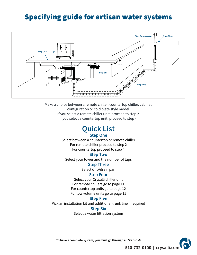### Specifying guide for artisan water systems



Make a choice between a remote chiller, countertop chiller, cabinet configuration or cold plate style model If you select a remote chiller unit, proceed to step 2 If you select a countertop unit, proceed to step 4

### **Quick List Step One**

Select between a countertop or remote chiller For remote chiller proceed to step 2 For countertop proceed to step 4

#### **Step Two**

Select your tower and the number of taps

**Step Three**

Select drip/drain pan

### **Step Four**

Select your Crysalli chiller unit For remote chillers go to page 11 For countertop units go to page 12 For low volume units go to page 15

### **Step Five**

Pick an installation kit and additional trunk line if required

### **Step Six**

Select a water filtration system



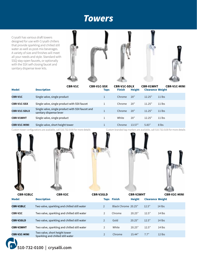### **Towers**

Crysalli has various draft towers designed for use with Crysalli chillers that provide sparkling and chilled still water as well as post-mix beverages. A variety of size and finishes will meet all your needs and style. Standard with SSQ stay-open faucets, or optionally with the SSX self-closing faucet and sanitary dispense lever kits.





| 20"<br>Single valve, single product<br>12.25"<br>$11$ lbs<br><b>CBR-V1C</b><br>Chrome                                                     |  |
|-------------------------------------------------------------------------------------------------------------------------------------------|--|
| Single valve, single product with SSX faucet<br>20"<br><b>CBR-V1C-SSX</b><br>$11$ lbs<br>11.25"<br>Chrome                                 |  |
| Single valve, single product with SSX faucet and<br><b>CBR-V1C-SDLX</b><br>20"<br>11.25"<br>$11$ lbs<br>Chrome<br>sanitary dispense lever |  |
| Single valve, single product<br>20"<br>White<br>12.25"<br>$11$ lbs<br><b>CBR-V1WHT</b>                                                    |  |
| Single valve, short height tower<br><b>CBR-V1C-MINI</b><br>5.83"<br>8 lbs<br>13.57"<br>Chrome                                             |  |

 $h \in$ 

Custom tower configurations are available, call 510.732.0100 for more details C



ustom branded tap markers are available, call 510,732,0100 for more details





| <b>CBR-V2BLC</b>    | CBR-V2C                                                            | <b>CBR-V2GLD</b> |                     | <b>CBR-V2WHT</b> |                         | <b>CBR-V2C-MINI</b> |
|---------------------|--------------------------------------------------------------------|------------------|---------------------|------------------|-------------------------|---------------------|
| <b>Model</b>        | <b>Description</b>                                                 |                  | <b>Taps Finish</b>  | <b>Height</b>    | <b>Clearance Weight</b> |                     |
| <b>CBR-V2BLC</b>    | Two valve, sparkling and chilled still water                       | $\overline{2}$   | Black Chrome 20.25" |                  | 12.5"                   | $14$ lbs            |
| <b>CBR-V2C</b>      | Two valve, sparkling and chilled still water                       | $\overline{2}$   | Chrome              | 20.25"           | 12.5"                   | $14$ lbs            |
| <b>CBR-V2GLD</b>    | Two valve, sparkling and chilled still water                       | $\overline{2}$   | Gold                | 20.25"           | 12.5"                   | $14$ lbs            |
| <b>CBR-V2WHT</b>    | Two valve, sparkling and chilled still water                       | 2                | White               | 20.25"           | 12.5"                   | $14$ lbs            |
| <b>CBR-V2C-MINI</b> | Two valve, short height tower<br>Sparkling and chilled still water | $\overline{2}$   | Chrome              | 15.44"           | 7.7"                    | $12$ lbs            |

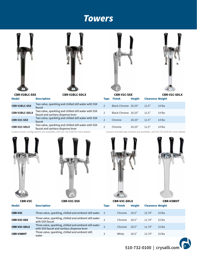### **Towers**





| <b>CBR-V2BLC-SSX</b>  | Two valve, sparkling and chilled still water with SSX<br>faucet                             | Black Chrome 20.25" |        | 11.5" | $14$ lbs |
|-----------------------|---------------------------------------------------------------------------------------------|---------------------|--------|-------|----------|
| <b>CBR-V2BLC-SDLX</b> | Two valve, sparkling and chilled still water with SSX<br>faucet and sanitary dispense lever | Black Chrome 20.25" |        | 11.5" | 14 lbs   |
| <b>CBR-V2C-SSX</b>    | Two valve, sparkling and chilled still water with SSX<br>faucet                             | Chrome              | 20.25" | 11.5" | 14 lbs   |
| <b>CBR-V2C-SDLX</b>   | Two valve, sparkling and chilled still water with SSX<br>faucet and sanitary dispense lever | Chrome              | 20.25" | 11.5" | 14 lbs   |

Custom tower configurations are available, call  $510.732.0100$  for more details C









**Model Description Description Taps**  $\frac{1}{2}$  **Taps** Finish **Height** Clearance Weight 2 Black Chrome 20.25" 11.5" 14 lbs **CBR-V2BLC-SSX CBR-V2BLC-SDLX CBR-V2C-SSX CBR-V2C-SDLX** 2 Black Chrome 20.25" 11.5" 14 lbs

ustom branded tap markers are available, call 510.732.0100 for more details





| <b>CBR-V3C</b>      | <b>CBR-V3C-SSX</b>                                                                                     | <b>CBR-V3C-SDLX</b> |               |               |                         | <b>CBR-V3WHT</b> |  |  |
|---------------------|--------------------------------------------------------------------------------------------------------|---------------------|---------------|---------------|-------------------------|------------------|--|--|
| <b>Model</b>        | <b>Description</b>                                                                                     | <b>Taps</b>         | <b>Finish</b> | <b>Height</b> | <b>Clearance Weight</b> |                  |  |  |
| <b>CBR-V3C</b>      | Three valve, sparkling, chilled and ambient still water                                                | -3                  | Chrome        | 20.5"         | 12.74"                  | $15$ lbs         |  |  |
| <b>CBR-V3C-SSX</b>  | Three valve, sparkling, chilled and ambient still water<br>with SSX faucet                             | $\overline{a}$      | Chrome        | 20.5"         | 11.74"                  | $15$ lbs         |  |  |
| <b>CBR-V3C-SDLX</b> | Three valve, sparkling, chilled and ambient still water<br>with SSX faucet and sanitary dispense lever | $\overline{a}$      | Chrome        | 20.5"         | 11.74"                  | $15$ lbs         |  |  |
| <b>CBR-V3WHT</b>    | Three valve, sparkling, chilled and ambient still<br>water                                             | 3                   | White         | 20.5"         | 12.74"                  | $15$ lbs         |  |  |

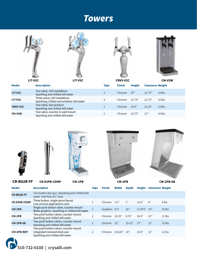### **Towers**









|                 | LIT-V2C                                                                   | $\sim$<br>LIT-V3C |             | <b>CRVS-V2C</b> |               |                         | CM-V2W   |
|-----------------|---------------------------------------------------------------------------|-------------------|-------------|-----------------|---------------|-------------------------|----------|
| <b>Model</b>    | <b>Description</b>                                                        |                   | <b>Taps</b> | <b>Finish</b>   | <b>Height</b> | <b>Clearance Weight</b> |          |
| LIT-V2C         | Two valve, LED medallions<br>Sparkling and chilled still water            |                   |             | Chrome          | 20"           | 12.73"                  | $14$ lbs |
| LIT-V3C         | Three valve, LED medallions<br>Sparkling, chilled and ambient still water |                   | 3           | Chrome          | 21.79"        | 12.73"                  | $15$ lbs |
| <b>CRVS-V2C</b> | Two valve, two product<br>Sparkling and chilled still water               |                   |             | Chrome          | 19.5"         | 12.25"                  | $13$ lbs |
| CM-V2W          | Two valve, counter or wall mount<br>Sparkling and chilled still water     |                   |             | Chrome          | 20.75"        | 12"                     | $10$ lbs |





**CR-BG2B-FF**









**CR-X3PB-COMP CM-2PB-SB CM-1PB Model Description Depth Weight Height Clearance CR-X3PB-COMP CM-1PB CM-2PB CM-2PB-SB CM-2PB-RDP** Three button, single spout faucet Low volume applications only Single push button valve, counter mount Water graphics. Sparkling or chilled still water Two push button valves, counter mount Sparkling and chilled still water Two push button valves, counter mount Sparkling and chilled still water Two push button valves, counter mount Integrated recessed drain pan Sparkling and chilled still water 1" 10" 8.75" 15.13" Chrome 10.625" 10" 9" 17.875" 10" 12" 12" 12" 8 lbs 10 lbs 11 lbs 12 lbs 12 lbs 12.5" 18.5" 17" 18.5" **Taps Finish Width** Chrome 1.5" Graphics 4.5" Chrome 10.25" Chrome 12" 1 1 2 2 2 **CR-BG2B-FF** Two button bar gun. Sparkling and chilled still water. Fast flow 30" hose

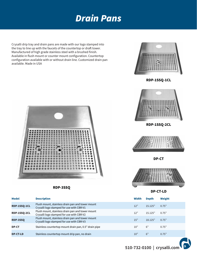## Drain Pans

Crysalli drip tray and drain pans are made with our logo stamped into the tray to line up with the faucets of the countertop or draft tower. Manufactured of high grade stainless steel with a brushed finish. Available in flush mount or counter mount configuration. Countertop configuration available with or without drain line. Customized drain pan available. Made in USA



**RDP-1SSQ-1CL**

**RDP-1SSQ-2CL**



**RDP-3SSQ**

| <b>Model</b>    | <b>Description</b>                                                                            | Width | <b>Depth</b> | Weight |  |
|-----------------|-----------------------------------------------------------------------------------------------|-------|--------------|--------|--|
| RDP-1SSQ-1CL    | Flush mount, stainless drain pan and tower mount<br>Crysalli logo stamped for use with CBR-V1 | 12"   | 15.125"      | 0.75"  |  |
| RDP-1SSQ-2CL    | Flush mount, stainless drain pan and tower mount<br>Crysalli logo stamped for use with CBR-V2 | 12"   | 15.125"      | 0.75"  |  |
| RDP-3SSQ        | Flush mount, stainless drain pan and tower mount<br>Crysalli logo stamped for use with CBR-V3 | 15"   | 18.125"      | 0.75"  |  |
| <b>DP-CT</b>    | Stainless countertop mount drain pan, 0.5" drain pipe                                         | 10"   | 6"           | 0.75"  |  |
| <b>DP-CT-LD</b> | Stainless countertop mount drip pan, no drain                                                 | 10"   | 6"           | 0.75"  |  |





**DP-CT**

**DP-CT-LD**

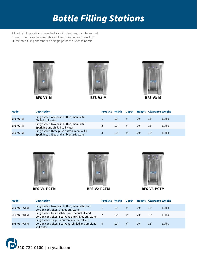## Bottle Filling Stations

All bottle filling stations have the following features: counter mount or wall mount design, insertable and removeable drain pan. LED illuminated filling chamber and single point of dispense nozzle.



**BFS-V1-M**







| <b>Model</b>    | <b>Description</b>                                                                         | <b>Product Width</b> |            |    |     | Depth Height Clearance Weight |          |
|-----------------|--------------------------------------------------------------------------------------------|----------------------|------------|----|-----|-------------------------------|----------|
| <b>BFS-V1-M</b> | Single valve, one push button, manual fill<br>Chilled still water                          |                      | 12"        | 7" | 20" | 13"                           | $11$ lbs |
| BFS-V2-M        | Single valve, two push button, manual fill<br>Sparkling and chilled still water            |                      | $12"$ $7"$ |    | 20" | 13"                           | $11$ lbs |
| BFS-V3-M        | Single valve, three push button, manual fill<br>Sparkling, chilled and ambient still water |                      | 12"        |    | 20" | 13"                           | $11$ lbs |



**BFS-V1-PCTM**





**BFS-V3-PCTM**

| <b>Model</b>       | <b>Description</b>                                                                                                  |     |    |     | Product Width Depth Height Clearance Weight |          |
|--------------------|---------------------------------------------------------------------------------------------------------------------|-----|----|-----|---------------------------------------------|----------|
| <b>BFS-V1-PCTM</b> | Single valve, two push button, manual fill and<br>portion controlled. Chilled still water                           | 12" | 7" | 20" | 13"                                         | $11$ lbs |
| <b>BFS-V2-PCTM</b> | Single valve, four push button, manual fill and<br>portion controlled. Sparkling and chilled still water            | 12" | 7" | 20" | 13"                                         | $11$ lbs |
| <b>BFS-V3-PCTM</b> | Single valve, six push button, manual fill and<br>portion controlled. Sparkling, chilled and ambient<br>still water | 12" | 7" | 20" | 13"                                         | $11$ lbs |

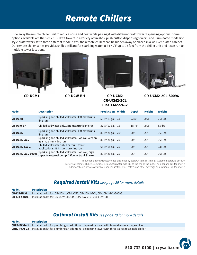## Remote Chillers

Hide away the remote chiller unit to reduce noise and heat while pairing it with different draft tower dispensing options. Some options available are the sleek CBR draft towers in a variety of finishes, push button dispensing towers, and illuminated medallion style draft towers. With three different model sizes, the remote chillers can be hidden away or placed in a well ventilated cabinet. Our remote chiller series provides chilled still and/or sparkling water at 34-40°F up to 75 feet from the chiller unit and it can run to multiple tower locations.









**CR-UCM1 CR-UCM2 CR-UCW-BH CR-UCM2-2CL CR-UCM2-SW-2**

**CR-UCM2-2CL-S0096**

| <b>Model</b>             | <b>Description</b>                                                                                   | <b>Production</b> | Width | <b>Depth</b> | <b>Height</b> | Weight    |
|--------------------------|------------------------------------------------------------------------------------------------------|-------------------|-------|--------------|---------------|-----------|
| <b>CR-UCM1</b>           | Sparkling and chilled still water. 35ft max trunk<br>line run                                        | 50 ltr/13 gal 12" |       | 23.5"        | 24.5"         | $115$ lbs |
| <b>CR-UCW-BH</b>         | Chilled still water only. 35ft max trunk line run                                                    | 37 ltr/10 gal 12" |       | 18.75"       | 24.5"         | 85 lbs    |
| <b>CR-UCM2</b>           | Sparkling and chilled still water. 45ft max trunk<br>line run                                        | 80 ltr/21 gal 20" |       | 20"          | 20"           | $165$ lbs |
| <b>CR-UCM2-2CL</b>       | Sparkling and chilled still water. Two coil version.<br>45ft max trunk line run                      | 80 ltr/21 gal     | 20"   | 20"          | 20"           | 165 lbs   |
| <b>CR-UCM2-SW-2</b>      | Chilled still water only. For multi tower<br>applications. 45ft max trunk line run                   | 68 ltr/18 gal 20" |       | 20"          | 20"           | $135$ lbs |
| <b>CR-UCM2-2CL-S0096</b> | Sparkling and chilled still water. Two coil, high<br>capacity external pump. 75ft max trunk line run | 80 ltr/21 gal     | 20"   | 26"          | 20"           | $165$ lbs |

Production quantity is determined on an hourly basis while maintaining a water temperature of <40°F

For Crysalli remote chillers using reverse osmosis water, add -RO to the end of the model number and call for pricing.

Additional coils are also available upon request for wine, coffee, and other beverage applications. Call for pricing,

### Required Install Kits see page 29 for more details

| <b>Model</b>      | <b>Description</b>                                                             |
|-------------------|--------------------------------------------------------------------------------|
| <b>CR-KIT-UCM</b> | Installation kit for: CR-UCM1, CR-UCM2, CR-UCM2-2CL, CR-UCM2-2CL-S0096         |
|                   | <b>CR-KIT-SWUC</b> Installation kit for: CR-UCW-BH, CR-UCM2-SW-2, CP2000-SW-BH |

### **Optional Install Kits** see page 29 for more details

| <b>Model</b> | <b>Description</b>                                                                                                    |
|--------------|-----------------------------------------------------------------------------------------------------------------------|
|              | <b>CBR2-FKM-V2</b> Installation kit for plumbing an additional dispensing tower with two valves to a single chiller   |
|              | <b>CBR2-FKM-V3</b> Installation kit for plumbing an additional dispensing tower with three valves to a single chiller |

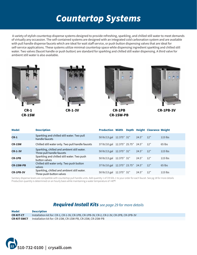## Countertop Systems

-A variety of stylish countertop dispense systems designed to provide refreshing, sparkling, and chilled still water to meet demands of virtually any occassion. The self-contained systems are designed with an integrated cold carbonation system and are available with pull handle dispense faucets which are ideal for wait staff service, or push button dispensing valves that are ideal for self-service applications. These systems utilize minimal countertop space while dispensing ingredient sparkling and chilled still water. Two valves (faucet handle or push button) are standard for sparkling and chilled still water dispensing. A third valve for ambient still water is also available.





Sanitary dispense levers are compatible with countertop pull handle units. Add quantity 1 of CR-SDL-1 to your order for each faucet. See pg 18 for more details Production quantity is determined on an hourly basis while maintaining a water temperature of <40°F

### Required Install Kits see page 29 for more details

Installation kit for: CR-1, CR-1-3V, CR-1PB, CR-1PB-3V, CR-2, CR-2-3V, CR-2PB, CR-2PB-3V Installation kit for: CR-1SW, CR-1SW-PB, CR-2SW, CR-2SW-PB **CR-KIT-CT CR-KIT-SWCT Model Description**

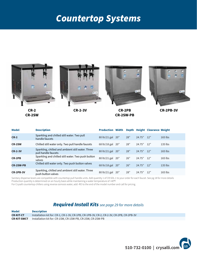## Countertop Systems



| <b>Model</b>     | <b>Description</b>                                                       | <b>Production Width</b> |     |        | Depth Height Clearance Weight |           |
|------------------|--------------------------------------------------------------------------|-------------------------|-----|--------|-------------------------------|-----------|
| $CR-2$           | Sparkling and chilled still water. Two pull<br>handle faucets            | 80 ltr/21 gal 20"       | 28" | 24.75" | 12"                           | $165$ lbs |
| <b>CR-2SW</b>    | Chilled still water only. Two pull handle faucets                        | 68 ltr/18 gal 20"       | 28" | 24.75" | 12"                           | $135$ lbs |
| <b>CR-2-3V</b>   | Sparkling, chilled and ambient still water. Three<br>pull handle faucets | 80 ltr/21 gal 20"       | 28" | 24.75" | 12"                           | $165$ lbs |
| <b>CR-2PB</b>    | Sparkling and chilled still water. Two push button<br>valves             | 80 ltr/21 gal 20"       | 26" | 24.75" | 12"                           | $165$ lbs |
| <b>CR-2SW-PB</b> | Chilled still water only. Two push button valves                         | 68 ltr/18 gal 20"       | 26" | 24.75" | 12"                           | $135$ lbs |
| <b>CR-2PB-3V</b> | Sparkling, chilled and ambient still water. Three<br>push button valves  | 80 ltr/21 gal 20"       | 28" | 24.75" | 12"                           | $165$ lbs |

Sanitary dispense levers are compatible with countertop pull handle units. Add quantity 1 of CR-SDL-1 to your order for each faucet. See pg 18 for more details Production quantity is determined on an hourly basis while maintaining a water temperature of <40°F

For Crysalli countertop chillers using reverse osmosis water, add -RO to the end of the model number and call for pricing.

| <b>Model</b>       | <b>Description</b>                                                                       |
|--------------------|------------------------------------------------------------------------------------------|
| <b>CR-KIT-CT</b>   | Installation kit for: CR-1, CR-1-3V, CR-1PB, CR-1PB-3V, CR-2, CR-2-3V, CR-2PB, CR-2PB-3V |
| <b>CR-KIT-SWCT</b> | Installation kit for: CR-1SW. CR-1SW-PB. CR-2SW. CR-2SW-PB                               |

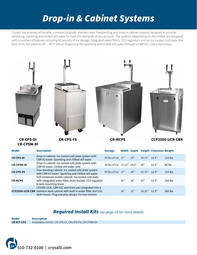## Drop-in & Cabinet Systems

Crysalli has a variety of durable, commercial grade, stainless steel freestanding and drop-in cabinet systems designed to provide refreshing, sparkling and chilled still water to meet the demands of any account. The systems (depending on the model) are designed with a number of features including 40 pounds of ice storage, integrated water filters, CO2 regulators and an ice-cooled cold plate that flash chills the water to 34° – 40° F before dispensing the sparkling and chilled still water through a CBR-V2C cobra style tower.



| <b>Model</b>      | <b>Description</b>                                                                                                                                                                           | <b>Storage</b>             |     |     |              | Width Depth Height Clearance Weight |           |
|-------------------|----------------------------------------------------------------------------------------------------------------------------------------------------------------------------------------------|----------------------------|-----|-----|--------------|-------------------------------------|-----------|
| <b>CR-CPS-DI</b>  | Drop-in cabinet. Ice cooled cold plate system with<br>CBR-V2 tower. Sparkling and chilled still water                                                                                        | 40 lbs of ice 17"          |     | 25" | 50.75" 12.5" |                                     | $115$ lbs |
| <b>CR-CPSW-DI</b> | Drop-in cabinet. Ice cooled cold plate system with<br>CBR-V2 tower. Chilled still water only                                                                                                 | 40 lbs of ice 17.13" 24.9" |     |     | 40"          | 12.5"                               | $90$ lbs  |
| <b>CR-CPS-FS</b>  | Free standing cabinet. Ice cooled cold plate system<br>with CBR-V2 tower. Sparkling and chilled still water                                                                                  | 40 lbs of ice 17"          |     | 24" | 62.75" 12.5" |                                     | $115$ lbs |
| <b>CR-MCPS</b>    | Self contained mobile cabinet. Ice cooled cold plate<br>with integrated water filter, drain bucket, CO2 regulator<br>& tank mounting brace                                                   |                            | 31" | 26" | 63"          | 12.5"                               | 150 lbs   |
|                   | CP2000-UCR, CBR-V2C and drain pan integrated into a<br><b>CCP2000-UCR-CBR</b> stainless steel cabinet with built in water filter and CO2<br>tank mount. Plug and play design. For low volume |                            | 24" | 22" | 58.25"       | 12.5"                               | 200 lbs   |

| Model             | <b>Description</b>                                     |
|-------------------|--------------------------------------------------------|
| <b>CR-KIT-CPS</b> | Installation kit for: CR-CPS-DI, CR-CPS-FS, CR-CPSW-DI |

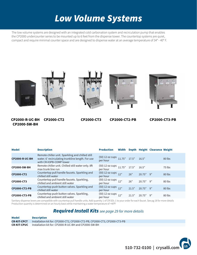## Low Volume Systems

The low volume systems are designed with an integrated cold carbonation system and recirculation pump that enables the CP2000 undercounter series to be mounted up to 6 feet from the dispense tower. The countertop systems are quiet, compact and require minimal counter space and are designed to dispense water at an average temperature of  $34^{\circ}$  -  $40^{\circ}$  F.



**CP2000-R-UC-BH CP2000-SW-BH**



**CP2000-CT2 CP2000-CT3 CP2000-CT2-PB CP2000-CT3-PB**

| <b>Model</b>          | <b>Description</b>                                                                                                               | <b>Production</b>               | Width          |       |             | Depth Height Clearance Weight |        |
|-----------------------|----------------------------------------------------------------------------------------------------------------------------------|---------------------------------|----------------|-------|-------------|-------------------------------|--------|
| <b>CP2000-R-UC-BH</b> | Remote chiller unit. Sparkling and chilled still<br>water. 6' recirculating trunkline length. For use<br>with CR-X3PB-COMP tower | (50) 12 oz cups<br>per hour     | $11.75"$ 17.5" |       | 16.5"       |                               | 80 lbs |
| <b>CP2000-SW-BH</b>   | Remote chiller unit. Chilled still water only. 8ft<br>max trunk line run                                                         | (50) 12 oz cups<br>per hour     | $11.75"$ 17.5" |       | 16.5"       |                               | 75 lbs |
| <b>CP2000-CT2</b>     | Countertop pull handle faucets. Sparkling and<br>chilled still water                                                             | (50) 12 oz cups<br>per hour     | 12"            | 26"   | $20.75"$ 9" |                               | 80 lbs |
| <b>CP2000-CT3</b>     | Countertop pull handle faucets. Sparkling,<br>chilled and ambient still water                                                    | (50) 12 oz cups 12"<br>per hour |                | 26"   | $20.75"$ 9" |                               | 80 lbs |
| <b>CP2000-CT2-PB</b>  | Countertop push button valves. Sparkling and<br>chilled still water                                                              | (50) 12 oz cups<br>per hour     | 12"            | 21.5" | $20.75"$ 9" |                               | 80 lbs |
| CP2000-CT3-PB         | Countertop push button valves. Sparkling,<br>chilled and ambient still water                                                     | (50) 12 oz cups<br>per hour     | 12"            | 21.5" | $20.75"$ 9" |                               | 80 lbs |

Sanitary dispense levers are compatible with countertop pull handle units. Add quantity 1 of CR-SDI-1 to your order for each faucet. See pg 18 for more details Production quantity is determined on an hourly basis while maintaining a water temperature of <40°F

| <b>Model</b>       | <b>Description</b>                                                         |
|--------------------|----------------------------------------------------------------------------|
| <b>CR-KIT-CPCT</b> | Installation kit for: CP2000-CT2, CP2000-CT2-PB, CP2000-CT3, CP2000-CT3-PB |
| <b>CR-KIT-CPUC</b> | Installation kit for: CP2000-R-UC-BH and CP2000-SW-BH                      |

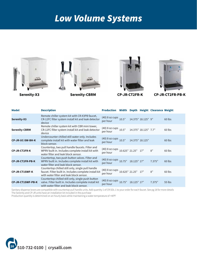## Low Volume Systems







**Serenity-X3 Serenity-CBRM CP-JR-CT2FR-K CP-JR-CT2FR-PB-K**

| <b>Model</b>             | <b>Description</b>                                                                                                                                      | Production                                    |                    |             |                      | Width Depth Height Clearance Weight |        |
|--------------------------|---------------------------------------------------------------------------------------------------------------------------------------------------------|-----------------------------------------------|--------------------|-------------|----------------------|-------------------------------------|--------|
| <b>Serenity-X3</b>       | Remote chiller system kit with CR-X3PB faucet,<br>CR-12FC filter system install kit and leak detector<br>device                                         | (40) 8 oz cups<br>per hour                    | 10.5"              |             | 14.375" 18.125" 9"   |                                     | 60 lbs |
| <b>Serenity-CBRM</b>     | Remote chiller system kit with CBR mini tower,<br>CR-12FC filter system install kit and leak detector<br>device                                         | (40) 8 oz cups 10.5"<br>per hour              |                    |             | 14.375" 18.125" 7.7" |                                     | 60 lbs |
| <b>CP-JR-UC-SW-BH-K</b>  | Undercounter chilled still water only. Includes<br>complete install kit with water filter and leak<br>block sensor.                                     | (40) 8 oz cups 10.5"<br>per hour              |                    |             | 14.375" 18.125"      |                                     | 60 lbs |
| <b>CP-JR-CT2FR-K</b>     | Countertop, two pull handle faucets. Filter and<br>WPRV built in. Includes complete install kit with<br>water filter and leak block sensor.             | (40) 8 oz cups 10.625" 21.25" 17"<br>per hour |                    |             |                      | 8"                                  | 60 lbs |
| <b>CP-JR-CT2FR-PB-K</b>  | Countertop, two push button valves. Filter and<br>WPRV built in. Includes complete install kit with<br>water filter and leak block sensor.              | (40) 8 oz cups 10.75"<br>per hour             |                    | 18.125" 17" |                      | 7.375"                              | 60 lbs |
| <b>CP-JR-CT1SWF-K</b>    | Countertop chilled still only, single pull handle<br>faucet. Filter built in. Includes complete install kit<br>with water filter and leak block sensor. | (40) 8 oz cups<br>per hour                    | 10.625" 21.25" 17" |             |                      | 8"                                  | 60 lbs |
| <b>CP-JR-CT1SWF-PB-K</b> | Countertop chilled still only, single push button<br>valve. Filter built in. Includes complete install kit<br>with water filter and leak block sensor.  | (40) 8 oz cups<br>per hour                    | 10.75"             | 18.125" 17" |                      | 7.375"                              | 55 lbs |

Sanitary dispense levers are compatible with countertop pull handle units. Add quantity 1 of CR-SDI-1 to your order for each faucet. See pg 18 for more details The Serenity and CP-JR units have an installation kit included in the purchase

Production quantity is determined on an hourly basis while maintaining a water temperature of <40°F

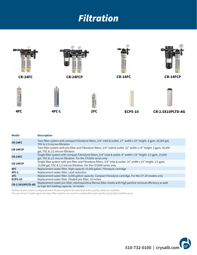## Filtration



| <b>Model</b>     | <b>Description</b>                                                                                                                                                                       |  |  |  |  |
|------------------|------------------------------------------------------------------------------------------------------------------------------------------------------------------------------------------|--|--|--|--|
| <b>CR-24FC</b>   | Twin filter system with compact Fibredyne filters, $3/4$ " inlet & outlet. 17" width x 19" height. 5 gpm, 30,000 gal,<br>TOC & 1/2 micron filtration                                     |  |  |  |  |
| <b>CR-24FCP</b>  | Twin filter system with pre-filter and Fibredyne filters, 3/4" inlet & outlet. 22" width x 19" height. 5 gpm, 30,000<br>gal, TOC & 1/2 micron filtration                                 |  |  |  |  |
| <b>CR-14FC</b>   | Single filter system with compact Fibredyne filters, $3/4$ " inlet & outlet. 8" width x 15" height. 2.5 gpm, 15,000<br>gal, TOC & 1/2 micron filtration. For the CP2000 series only      |  |  |  |  |
| <b>CR-14FCP</b>  | Single filter system with pre-filter and Fibredyne filters, 3/4" inlet & outlet. 14" width x 15" height. 2.5 gpm,<br>15,000 gal, TOC & 1/2 micron filtration. For the CP2000 series only |  |  |  |  |
| 4FC              | Replacement water filter. High capacity 15,000 gallon. Fibredyne cartridge                                                                                                               |  |  |  |  |
| 4FC-L            | Replacement water filter. Lead reduction                                                                                                                                                 |  |  |  |  |
| 2FC              | Replacement water filter. 6,000 gallon capacity. Compact Fibredyne cartridge. For the CP-JR models only                                                                                  |  |  |  |  |
| <b>ECP5-10</b>   | Replacement water filter. Pleated pre-filter. 10 inches                                                                                                                                  |  |  |  |  |
| CR-2.5X10PLTD-AG | Replacement water pre-filter, electropositive fibrous filter media with high particle removal efficiency as well<br>as high dirt holding capacity. 10 inches                             |  |  |  |  |

Additional and custom configured water filtration systems for individual water quality needs are available.

The use of non Crysalli approved water filter systems can result in undesirable water quality and product performance.

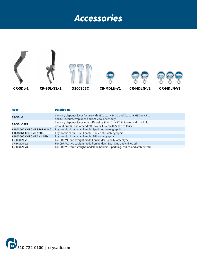## Accessories



| × | ×<br>e e |  |
|---|----------|--|

#### **Model Description**

| <b>CR-SDL-1</b>                  | Sanitary dispense lever for use with SSX0101-HEX-SC and X0101-B-HEX on CR-1<br>and CR-2 countertop units and CM-V2W. Lever only                      |
|----------------------------------|------------------------------------------------------------------------------------------------------------------------------------------------------|
| <b>CR-SDL-SSX1</b>               | Sanitary dispense lever with self closing SSX0101-HEX-SC faucet and shank, for<br>retro fit on CBR and other draft towers. Lever with SSX0101 faucet |
| <b>X100306C CHROME SPARKLING</b> | Ergonomic chrome tap handle. Sparkling water graphic                                                                                                 |
| X100306C CHROME STILL            | Ergonomic chrome tap handle. Chilled still water graphic                                                                                             |
| <b>X100306C CHROME CHILLED</b>   | Ergonomic chrome tap handle. Still water graphic                                                                                                     |
| <b>CR-MDLN-V1</b>                | For CBR-V1, one straight medallion holder. Specify water type                                                                                        |
| <b>CR-MDLN-V2</b>                | For CBR-V2, two straight medallion holders. Sparkling and chilled still                                                                              |
| <b>CR-MDLN-V3</b>                | For CBR-V3, three straight medallion holders. Sparkling, chilled and ambient still                                                                   |

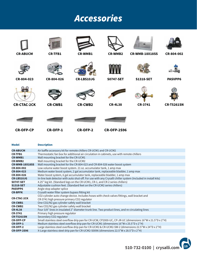## Accessories



| <b>Model</b>          | <b>Description</b>                                                                                                                          |
|-----------------------|---------------------------------------------------------------------------------------------------------------------------------------------|
| <b>CR-ABUCM</b>       | Air baffle accessory kit for remote chillers CR-UCM1 and CR-UCM2                                                                            |
| <b>CR-TFB1</b>        | Thermostatic fan box for additional air circulation in cabinets, use with remote chillers                                                   |
| <b>CR-WMB1</b>        | Wall mounting bracket for the CR-UCM1                                                                                                       |
| <b>CR-WMB2</b>        | Wall mounting bracket for the CR-UCM2                                                                                                       |
| <b>CR-WMB-18X18SS</b> | Wall mounting bracket for the CR-804-023 and CR-804-026 water boost system                                                                  |
| CR-804-002            | Low volume water boost system. 21 oz. accumulator tank, 1 amp max                                                                           |
| CR-804-023            | Medium water boost system, 2 gal accumulator tank, replaceable bladder, 1 amp max                                                           |
| CR-804-026            | Water boost system, 6 gal accumulator tank, replaceable bladder, 1 amp max                                                                  |
| <b>CR-LBS10JG</b>     | In-line leak detector with auto shut-off. For use with any Crysalli chiller system (Included in install kits)                               |
| <b>S0747-SET</b>      | 4.25" leg kit. (Standard legs on the CR-UCM1, CR-1, and CR-2 series chillers)                                                               |
| <b>S1318-SET</b>      | Adjustable cushion feet. (Standard feet on the CR-UCM2 series chillers)                                                                     |
| <b>PASVPP6</b>        | Angle stop adapter splice                                                                                                                   |
| <b>CR-BPFK</b>        | Crysalli water filter system bypass fitting kit                                                                                             |
| <b>CR-CTAC-2CK</b>    | CO2 cylinder auto change device. Includes hoses with check valves fittings, wall bracket and<br>CR-3741 high pressure primary CO2 regulator |
| <b>CR-CWB1</b>        | One CO2/N2 gas cylinder safety wall bracket                                                                                                 |
| <b>CR-CWB2</b>        | Two CO2/N2 gas cylinder safety wall bracket                                                                                                 |
| <b>CR-4L38</b>        | Four 3/8" lines in insulated 2" diameter trunk line. Two product lines, and re-circulating lines                                            |
| <b>CR-3741</b>        | Primary high pressure regulator                                                                                                             |
| <b>CR-T5261SN</b>     | Secondary CO2 regulator                                                                                                                     |
| <b>CR-OFP-CP</b>      | Small stainless steel overflow drip pan for CR-UCW, CP2000-UC, CP-JR-UC (dimensions 16"W x 21.5"D x 2"H)                                    |
| <b>CR-OFP-1</b>       | Medium stainless steel overflow drip pan for CR-UCM1 (dimensions 16"W x 25.5"D x 2"H)                                                       |
| <b>CR-OFP-2</b>       | Large stainless steel overflow drip pan for CR-UCM2 & CR-UCM2-SW-2 (dimensions 22.5"W x 24"D x 2"H)                                         |
| <b>CR-OFP-2S96</b>    | X-Large stainless steel drip pan for CR-UCM2-S0096 (dimensions 22.5"W x 28.5"D x 2"H)                                                       |
|                       |                                                                                                                                             |

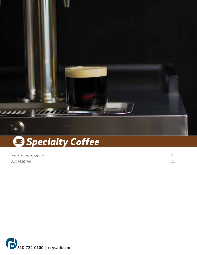

## *Specialty Coffee*

| <b>ProFusion Systems</b> |  |
|--------------------------|--|
| Accessories              |  |

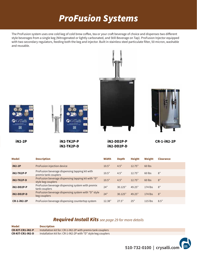## ProFusion Systems

The ProFusion system uses one cold keg of cold brew coffee, tea or your craft beverage of choice and dispenses two different style beverages from a single keg (Nitrogenated or lightly carbonated, and Still Beverage on Tap). ProFusion Injector equipped with two secondary regulators, feeding both the keg and injector. Built in stainless steel particulate filter, 50 micron, washable and reusable.







**iN2-2P**



**iN2-TK2P-P iN2-TK2P-D** **iN2-DD2P-P CR-1-iN2-2P iN2-DD2P-D**

| <b>Model</b>       | <b>Description</b>                                                       | <b>Width</b> | <b>Depth</b> | <b>Height</b> | Weight    | <b>Clearance</b> |
|--------------------|--------------------------------------------------------------------------|--------------|--------------|---------------|-----------|------------------|
| <b>iN2-2P</b>      | ProFusion injection device                                               | 10.5"        | 4.5"         | 12.75"        | 60 lbs    |                  |
| iN2-TK2P-P         | ProFusion beverage dispensing tapping kit with<br>premix tank couplers   | 10.5"        | 4.5"         | 12.75"        | 60 lbs    | 8"               |
| iN2-TK2P-D         | ProFusion beverage dispensing tapping kit with "D"<br>style keg couplers | 10.5"        | 4.5"         | 12.75"        | 60 lbs    | 8"               |
| iN2-DD2P-P         | ProFusion beverage dispensing system with premix<br>tank couplers        | 24"          | 30.125"      | 49.25"        | 174 lbs   | 8"               |
| iN2-DD2P-D         | ProFusion beverage dispensing system with "D" style<br>keg couplers      | 24"          | 30.125"      | 49.25"        | 174 lbs   | 8"               |
| <b>CR-1-iN2-2P</b> | ProFusion beverage dispensing countertop system                          | 12.38"       | 27.5"        | 25"           | $115$ lbs | 8.5"             |

| <b>Model</b>            | <b>Description</b>                                            |
|-------------------------|---------------------------------------------------------------|
| <b>CR-KIT-CR1-IN2-P</b> | Installation kit for: CR-1-iN2-2P with premix tank couplers   |
| <b>CR-KIT-CR1-IN2-D</b> | Installation kit for: CR-1-iN2-2P with "D" style keg couplers |

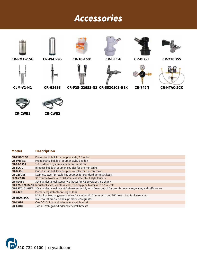## Accessories



#### **Description Model**

| <b>CR-PMT-2.5G</b>    | Premix tank, ball lock coupler style, 2.5 gallon                                                            |
|-----------------------|-------------------------------------------------------------------------------------------------------------|
| <b>CR-PMT-5G</b>      | Premix tank, ball lock coupler style, 5 gallon                                                              |
| CR-10-1591            | 1-2 cold brew system cleaner and sanitizer                                                                  |
| <b>CR-BLC-G</b>       | Inlet gas ball lock coupler, coupler for pre-mix tanks                                                      |
| <b>CR-BLC-L</b>       | Outlet liquid ball lock coupler, coupler for pre-mix tanks                                                  |
| <b>CR-220DSS</b>      | Stainless steel "D" style keg coupler, for standard domestic kegs                                           |
| <b>CLM-V2-N2</b>      | 3" column tower with 304 stainless steel stout style faucets                                                |
| <b>CR-G26SS</b>       | 304 stainless steel stout style faucet for N2 beverages, no shank                                           |
|                       | <b>CR-F2S-G26SS-N2</b> Industrial style, stainless steel, two tap pipe tower with N2 faucets                |
| <b>CR-SSX0101-HEX</b> | 304 stainless steel faucet & shank assembly with flow control for premix beverages, water, and self service |
| <b>CR-742N</b>        | Primary regulator for nitrogen tank                                                                         |
|                       | N2 tank auto changeover device, 2 cylinder kit. Comes with two 36" hoses, two tank wrenches,                |
| <b>CR-NTAC-2CK</b>    | wall mount bracket, and a primary N2 regulator                                                              |
| <b>CR-CWB1</b>        | One CO2/N2 gas cylinder safety wall bracket                                                                 |
| <b>CR-CWB2</b>        | Two CO2/N2 gas cylinder safety wall bracket                                                                 |
|                       |                                                                                                             |

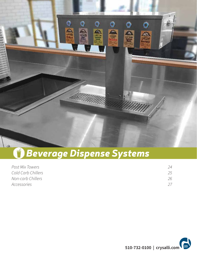

# *Beverage Dispense Systems*

| <i>Post Mix Towers</i> | 24  |
|------------------------|-----|
| Cold Carb Chillers     | 25. |
| Non-carb Chillers      | 26  |
| Accessories            |     |

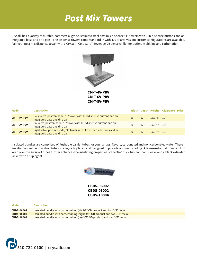## Post Mix Towers

Crysalli has a variety of durable, commercial grade, stainless steel post mix dispense "T" towers with LED dispense buttons and an integrated base and drip pan . The dispense towers come standard in with 4, 6 or 8 valves but custom configurations are available. Pair your post mix dispense tower with a Crysalli "Cold Carb" Beverage Dispense chiller for optimum chilling and carbonation.



**CM-T-4V-PBV CM-T-6V-PBV CM-T-8V-PBV**

| Model              | <b>Description</b>                                                                                    |     |                             | Width Depth Height Clearance Price |  |
|--------------------|-------------------------------------------------------------------------------------------------------|-----|-----------------------------|------------------------------------|--|
| <b>CM-T-4V-PBV</b> | Four valve, postmix soda, "T" tower with LED dispense buttons and an<br>integrated base and drip pan  |     | 20" 12" 17.375" 10"         |                                    |  |
| <b>CM-T-6V-PBV</b> | Six valve, postmix soda, "T" tower with LED dispense buttons and an<br>integrated base and drip pan   | 20" | $12"$ $17.375"$ $10"$       |                                    |  |
| <b>CM-T-8V-PBV</b> | Eight valve, postmix soda, "T" tower with LED dispense buttons and an<br>integrated base and drip pan |     | $20"$ $12"$ $17.375"$ $10"$ |                                    |  |

Insulated bundles are comprised of flushable barrier tubes for your syrups, flavors, carbonated and non carbonated water. There are also coolant recirculation tubes strategically placed and designed to provide optimum cooling. A tear-resistant aluminized film wrap over the group of tubes further enhances the insulating properties of the 3/4" thick tubular foam sleeve and a black extruded jacket with a slip agent.



**CBDS-06002 CBDS-08002 CBDS-10004**

| <b>Model</b>      | <b>Description</b>                                                               |
|-------------------|----------------------------------------------------------------------------------|
| <b>CBDS-06002</b> | Insulated bundle with barrier tubing (six 3/8" OD product and two 3/8" recirc)   |
| <b>CBDS-08002</b> | Insulated bundle with barrier tubing (eight 3/8" OD product and two 3/8" recirc) |
| <b>CBDS-10004</b> | Insulated bundle with barrier tubing (ten 3/8" OD product and four 3/8" recirc)  |

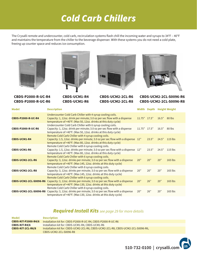## Cold Carb Chillers

The Crysalli remote and undercounter, cold carb, recirculation systems flash chill the incoming water and syrups to 34°F – 40°F and maintains the temperature from the chiller to the beverage dispenser. With these systems you do not need a cold plate, freeing up counter space and reduces ice consumption.





**CBDS-P2000-R-UC-R4 CBDS-P2000-R-UC-R6**

**CBDS-UCM1-R4 CBDS-UCM1-R6**





**CBDS-UCM2-2CL-R6 CBDS-UCM2-2CL-R8**

**CBDS-UCM2-2CL-S0096-R6 CBDS-UCM2-2CL-S0096-R8**

| <b>Model</b>                  | <b>Description</b>                                                                                                                                                                                         |                |       |       | Width Depth Height Weight |
|-------------------------------|------------------------------------------------------------------------------------------------------------------------------------------------------------------------------------------------------------|----------------|-------|-------|---------------------------|
| <b>CBDS-P2000-R-UC-R4</b>     | Undercounter Cold Carb Chiller with 4 syrup cooling coils.<br>Capacity: 1, 12oz. drink per minute; 3.0 oz per sec flow with a dispense<br>temperature of <40°F. (Max 50, 12oz. drinks at this duty cycle)  | $11.75"$ 17.5" |       | 16.5" | 80 lbs                    |
| <b>CBDS-P2000-R-UC-R6</b>     | Undercounter Cold Carb Chiller with 6 syrup cooling coils.<br>Capacity: 1, 12oz. drink per minute; 3.0 oz per sec flow with a dispense<br>temperature of <40°F. (Max 50, 12oz. drinks at this duty cycle)  | $11.75"$ 17.5" |       | 16.5" | 80 lbs                    |
| <b>CBDS-UCM1-R4</b>           | Remote Cold Carb Chiller with 4 syrup cooling coils.<br>Capacity: 1.5, 12oz. drinks per minute; 3.0 oz per sec flow with a dispense 12"<br>temperature of <40°F. (Max 80, 12oz. drinks at this duty cycle) |                | 23.5" | 24.5" | $115$ lbs                 |
| <b>CBDS-UCM1-R6</b>           | Remote Cold Carb Chiller with 6 syrup cooling coils.<br>Capacity: 1.5, 12oz. drinks per minute; 3.0 oz per sec flow with a dispense 12"<br>temperature of <40°F. (Max 80, 12oz. drinks at this duty cycle) |                | 23.5" | 24.5" | $115$ lbs                 |
| <b>CBDS-UCM2-2CL-R6</b>       | Remote Cold Carb Chiller with 6 syrup cooling coils.<br>Capacity: 3, 12oz. drinks per minute; 3.0 oz per sec flow with a dispense<br>temperature of <40°F. (Max 145, 12oz. drinks at this duty cycle)      | 20"            | 20"   | 20"   | 165 lbs                   |
| <b>CBDS-UCM2-2CL-R8</b>       | Remote Cold Carb Chiller with 8 syrup cooling coils.<br>Capacity: 3, 12oz. drinks per minute; 3.0 oz per sec flow with a dispense<br>temperature of <40°F. (Max 145, 12oz. drinks at this duty cycle)      | 20"            | 20"   | 20"   | 165 lbs                   |
| <b>CBDS-UCM2-2CL-S0096-R6</b> | Remote Cold Carb Chiller with 6 syrup cooling coils.<br>Capacity: 3, 12oz. drinks per minute; 3.0 oz per sec flow with a dispense<br>temperature of <40°F. (Max 130, 12oz. drinks at this duty cycle)      | 20"            | 26"   | 20"   | 165 lbs                   |
| <b>CBDS-UCM2-2CL-S0096-R8</b> | Remote Cold Carb Chiller with 8 syrup cooling coils.<br>Capacity: 3, 12oz. drinks per minute; 3.0 oz per sec flow with a dispense<br>temperature of <40°F. (Max 130, 12oz. drinks at this duty cycle)      | 20"            | 26"   | 20"   | $165$ lbs                 |

| <b>Model</b>               | <b>Description</b>                                                                |
|----------------------------|-----------------------------------------------------------------------------------|
| <b>CBDS-KIT-P2000-R4/6</b> | Installation kit for: CBDS-P2000-R-UC-R4, CBDS-P2000-R-UC-R6                      |
| <b>CBDS-KIT-R4/6</b>       | Installation kit for: CBDS-UCM1-R4, CBDS-UCM1-R6                                  |
| CBDS-KIT-2CL-R6/8          | Installation kit for: CBDS-UCM2-2CL-R6, CBDS-UCM2-2CL-R8, CBDS-UCM2-2CL-S0096-R6, |
|                            | CBDS-UCM2-2CL-S0096-R8                                                            |

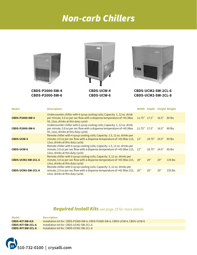## Non-carb Chillers



**CBDS-P2000-SW-4 CBDS-P2000-SW-6**



**CBDS-UCW-4 CBDS-UCW-6**



**CBDS-UCM2-SW-2CL-6 CBDS-UCM2-SW-2CL-8**

| <b>Model</b>           | <b>Description</b>                                                                                                                                                                              | Width          |                |       | Depth Height Weight |
|------------------------|-------------------------------------------------------------------------------------------------------------------------------------------------------------------------------------------------|----------------|----------------|-------|---------------------|
| <b>CBDS-P2000-SW-4</b> | Undercounter chiller with 4 syrup cooling coils; Capacity: 1, 12 oz. drink<br>per minute; 3.0 oz per sec flow with a dispense temperature of <45 (Max<br>50, 12oz, drinks at this duty cycle)   | $11.75"$ 17.5" |                | 16.5" | 80 lbs              |
| CBDS-P2000-SW-6        | Undercounter chiller with 6 syrup cooling coils; Capacity: 1, 12 oz. drink<br>per minute; 3.0 oz per sec flow with a dispense temperature of <45 (Max<br>50, 12oz, drinks at this duty cycle)   | $11.75"$ 17.5" |                | 16.5" | 80 lbs              |
| <b>CBDS-UCW-4</b>      | Remote chiller with 4 syrup cooling coils; Capacity: 1.5, 12 oz. drinks per<br>minute; 3.0 oz per sec flow with a dispense temperature of <45 (Max 115, 12"<br>12oz, drinks at this duty cycle) |                | $18.75"$ 24.5" |       | 85 lbs              |
| <b>CBDS-UCW-6</b>      | Remote chiller with 6 syrup cooling coils; Capacity: 1.5, 12 oz. drinks per<br>minute; 3.0 oz per sec flow with a dispense temperature of <45 (Max 115, 12"<br>12oz, drinks at this duty cycle) |                | 18.75"         | 24.5" | 85 lbs              |
| CBDS-UCM2-SW-2CL-6     | Remote chiller with 6 syrup cooling coils; Capacity: 3, 12 oz. drinks per<br>minute; 3.0 oz per sec flow with a dispense temperature of <45 (Max 215,<br>12oz, drinks at this duty cycle)       | 20"            | 20"            | 20"   | $135$ lbs           |
| CBDS-UCM2-SW-2CL-8     | Remote chiller with 8 syrup cooling coils; Capacity: 3, 12 oz. drinks per<br>minute; 3.0 oz per sec flow with a dispense temperature of <45 (Max 215,<br>12oz, drinks at this duty cycle)       | 20"            | 20"            | 20"   | $135$ lbs           |

| Model                    | <b>Description</b>                                                             |
|--------------------------|--------------------------------------------------------------------------------|
| <b>CBDS-KIT-SW-4/6</b>   | Installation kit for: CBDS-P2000-SW-4, CBDS-P2000-SW-6, CBDS-UCW-4, CBDS-UCW-6 |
| CBDS-KIT-SW-2CL-6        | Installation kit for: CBDS-UCM2-SW-2CL-6                                       |
| <b>CBDS-KIT-SW-2CL-8</b> | Installation kit for: CBDS-UCM2-SW-2CL-8                                       |

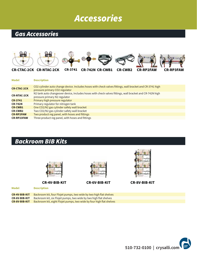## Accessories

### Gas Accessories



| lel |  | <b>Descriptio</b> |  |  |  |
|-----|--|-------------------|--|--|--|
|     |  |                   |  |  |  |

| <b>CR-CTAC-2CK</b> | CO2 cylinder auto change device. Includes hoses with check valves fittings, wall bracket and CR-3741 high<br>pressure primary CO2 regulator |
|--------------------|---------------------------------------------------------------------------------------------------------------------------------------------|
| <b>CR-NTAC-2CK</b> | N2 tank auto changeover device, Includes hoses with check valves fittings, wall bracket and CR-742N high<br>pressure primary N2 regulator   |
| <b>CR-3741</b>     | Primary high pressure regulator                                                                                                             |
| <b>CR-742N</b>     | Primary regulator for nitrogen tank                                                                                                         |
| <b>CR-CWB1</b>     | One CO2/N2 gas cylinder safety wall bracket                                                                                                 |
| <b>CR-CWB2</b>     | Two CO2/N2 gas cylinder safety wall bracket                                                                                                 |
| <b>CR-RP2FAW</b>   | Two product reg panel, with hoses and fittings                                                                                              |
| <b>CR-RP23FAW</b>  | Three product reg panel, with hoses and fittings                                                                                            |

### Backroom BIB Kits



**CR-4V-BIB-KIT CR-6V-BIB-KIT CR-8V-BIB-KIT**

**Model Description**



**CR-4V-BIB-KIT CR-6V-BIB-KIT CR-8V-BIB-KIT** Backroom kit, four Flojet pumps, two wide by two high flat shelves Backroom kit, six Flojet pumps, two wide by two high flat shelves Backroom kit, eight Flojet pumps, two wide by four high flat shelves

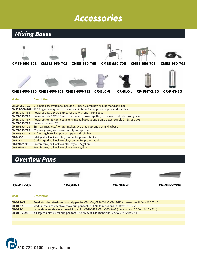## Accessories



### **Overflow Pans**





**CR-OFP-CP CR-OFP-1 CR-OFP-2 CR-OFP-2S96**

| <b>Model</b>       | <b>Description</b>                                                                                       |
|--------------------|----------------------------------------------------------------------------------------------------------|
| <b>CR-OFP-CP</b>   | Small stainless steel overflow drip pan for CR-UCW, CP2000-UC, CP-JR-UC (dimensions 16"W x 21.5"D x 2"H) |
| <b>CR-OFP-1</b>    | Medium stainless steel overflow drip pan for CR-UCM1 (dimensions $16''$ W x $25.5''$ D x $2''$ H)        |
| <b>CR-OFP-2</b>    | Large stainless steel overflow drip pan for CR-UCM2 & CR-UCM2-SW-2 (dimensions 22.5"W x 24"D x 2"H)      |
| <b>CR-OFP-2S96</b> | X-Large stainless steel drip pan for CR-UCM2-S0096 (dimensions 22.5"W x 28.5"D x 2"H)                    |
|                    |                                                                                                          |

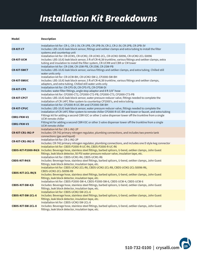## Installation Kit Breakdowns

#### **Model Description**

| <b>CR-KIT-CT</b>         | Installation kit for: CR-1, CR-1-3V, CR-1PB, CR-1PB-3V, CR-2, CR-2-3V, CR-2PB, CR-2PB-3V<br>Includes: LBS-10JG leak block sensor, fittings and oetiker clamps and extra tubing to install the filter<br>systems and countertop unit                                                     |
|--------------------------|-----------------------------------------------------------------------------------------------------------------------------------------------------------------------------------------------------------------------------------------------------------------------------------------|
| <b>CR-KIT-UCM</b>        | Installation kit for: CR-UCM1, CR-UCM2, CR-UCM2-2CL, CR-UCM2-S0096, CR-UCM2-2CL-S0096<br>Includes: LBS-10JG leak block sensor, 5 ft of CR-4L38 trunkline, various fittings and oetiker clamps, extra<br>tubing and insulation to install the filter system, CR-UCM# and CBR or CM tower |
| <b>CR-KIT-SWCT</b>       | Installation kit for: CR-1SW, CR-1SW-PB, CR-2SW, CR-2SW-PB<br>Includes: LBS-10JG leak block sensor, various fittings and oetiker clamps, and extra tubing. Chilled still<br>water units only                                                                                            |
| <b>CR-KIT-SWUC</b>       | Installation kit for: CR-UCW-BH, CR-UCM2-SW-2, CP2000-SW-BH<br>Includes: LBS-10JG leak block sensor, 5 ft of CR-4L38 trunkline, various fittings and oetiker clamps,<br>adapters, and extra tubing. Chilled still water units only                                                      |
| <b>CR-KIT-CPS</b>        | Installation kit for: CR-CPS-DI, CR-CPS-FS, CR-CPSW-DI<br>Includes: water filter fittings, angle stop adaptor and 8 ft 3/8" hose                                                                                                                                                        |
| <b>CR-KIT-CPCT</b>       | Installation kit for: CP2000-CT2, CP2000-CT2-PB, CP2000-CT3, CP2000-CT3-PB<br>Includes: LBS-10JG leak block sensor, water pressure reducer valve, fittings needed to complete the<br>installation of CR-14FC filter system to countertop CP2000's, and extra tubing                     |
| <b>CR-KIT-CPUC</b>       | Installation kit for: CP2000-R-UC-BH and CP2000-SW-BH<br>Includes: LBS-10JG leak block sensor, water pressure reducer valve, fittings needed to complete the<br>installation of CR-14FC filter system to remote chiller CP2000-R-UC-BH and tower or faucet, and extra tubing            |
| <b>CBR2-FKM-V2</b>       | Fittings kit for adding a second CBR-V2C or other 2 valve dispenser tower off the trunkline from a single<br>UCM remote chiller                                                                                                                                                         |
| <b>CBR2-FKM-V3</b>       | Fitting kit for adding a second CBR-V3C or other 3 valve dispenser tower off the trunkline from a single<br>UCM remote chiller                                                                                                                                                          |
| <b>CR-KIT-CR1-IN2-P</b>  | Installation kit for: CR-1-IN2-2P<br>Includes: CR-742 primary nitrogen regulator, plumbing connections, and includes two premix tank<br>connections (gas and liquid)                                                                                                                    |
| <b>CR-KIT-CR1-IN2-D</b>  | Installation kit for: CR-1-IN2-2P<br>Includes: CR-742 primary nitrogen regulator, plumbing connections, and includes one D style keg connector                                                                                                                                          |
|                          | Installation kit for: CBDS-P2000-R-UC-R4, CBDS-P2000-R-UC-R6<br>CBDS-KIT-P2000-R4/6 Includes: Beverage hose, stainless steel fittings, barbed splicers, U-bend, oetiker clamps, John Guest<br>fittings, leak block detector, 50 PSI water pressure reducer valve, insulation tape, etc. |
| <b>CBDS-KIT-R4/6</b>     | Installation kit for: CBDS-UCM1-R4, CBDS-UCM1-R6<br>Includes: Beverage hose, stainless steel fittings, barbed splicers, U-bend, oetiker clamps, John Guest<br>fittings, leak block detector, insulation tape, etc.                                                                      |
| CBDS-KIT-2CL-R6/8        | Installation kit for: CBDS-UCM2-2CL-R6, CBDS-UCM2-2CL-R8, CBDS-UCM2-2CL-S0096-R6,<br>CBDS-UCM2-2CL-S0096-R8<br>Includes: Beverage hose, stainless steel fittings, barbed splicers, U-bend, oetiker clamps, John Guest<br>fittings, leak block detector, insulation tape, etc.           |
| CBDS-KIT-SW-4/6          | Installation kit for: CBDS-P2000-SW-4, CBDS-P2000-SW-6, CBDS-UCW-4, CBDS-UCW-6<br>Includes: Beverage hose, stainless steel fittings, barbed splicers, U-bend, oetiker clamps, John Guest<br>fittings, leak block detector, insulation tape, etc.                                        |
| <b>CBDS-KIT-SW-2CL-6</b> | Installation kit for: CBDS-UCM2-SW-2CL-6<br>Includes: Beverage hose, stainless steel fittings, barbed splicers, U-bend, oetiker clamps, John Guest<br>fittings, leak block detector, insulation tape, etc.                                                                              |
| CBDS-KIT-SW-2CL-8        | Installation kit for: CBDS-UCM2-SW-2CL-8<br>Includes: Beverage hose, stainless steel fittings, barbed splicers, U-bend, oetiker clamps, John Guest<br>fittings, leak block detector, insulation tape, etc.                                                                              |

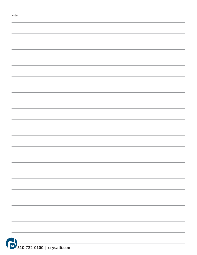|           | <b>STATISTICS</b>           |
|-----------|-----------------------------|
|           | $\sim$                      |
|           |                             |
|           | $\overline{\phantom{a}}$    |
|           |                             |
|           | $\sim$                      |
|           | $\overline{\phantom{a}}$    |
|           | $\overline{\phantom{a}}$    |
|           |                             |
|           |                             |
|           |                             |
|           | $\sim$                      |
|           | $\overline{\phantom{a}}$    |
|           |                             |
|           | and the control of the con- |
| <b>JN</b> | ____                        |

**<sup>30</sup> 510-732-0100 | crysalli.com**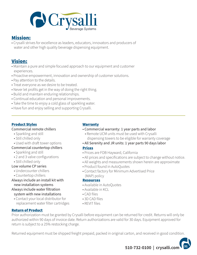

### Mission:

• Crysalli strives for excellence as leaders, educators, innovators and producers of water and other high quality beverage dispensing equipment.

### Vision:

- Maintain a pure and simple focused approach to our equipment and customer experiences.
- Proactive empowerment, innovation and ownership of customer solutions.
- Pay attention to the details.
- Treat everyone as we desire to be treated.
- Never let profits get in the way of doing the right thing.
- Build and maintain enduring relationships.
- Continual education and personal improvements.
- Take the time to enjoy a cold glass of sparkling water.
- Have fun and enjoy selling and supporting Crysalli.

### Product Styles

### Commercial remote chillers

- Sparkling and still
- Still chilled only
- Used with draft tower options
- Commercial countertop chillers
	- Sparkling and still
	- 2 and 3 valve configurations
	- Still chilled only

### Low volume CP series

- Undercounter chillers
- Countertop chillers

### Always include an install kit with new installation systems

- Always include water filtration system with new installations
	- Contact your local distributor for replacement water filter cartridges

### **Warranty**

- Commercial warranty: 1 year parts and labor
	- Remote UCM units must be used with Crysalli dispensing towers to be eligible for warranty coverage
- All Serenity and JR units: 1 year parts 90 days labor

### Prices

- Prices are FOB Hayward, California
- All prices and specifications are subject to change without notice.
- All weights and measurements shown herein are approximate
- Product found in AutoQuotes
- Contact factory for Minimum Advertised Price (MAP) policy

### **Resources**

- Available in AutoQuotes
- Available in KCL
- CAD files
- 3D CAD files
- REVIT files

### Return of Product

Prior authorization must be granted by Crysalli before equipment can be returned for credit. Returns will only be authorized within 90 days of invoice date. Return authorizations are valid for 30 days. Equipment approved for return is subject to a 25% restocking charge.

Returned equipment must be shipped freight prepaid, packed in original carton, and received in good condition.